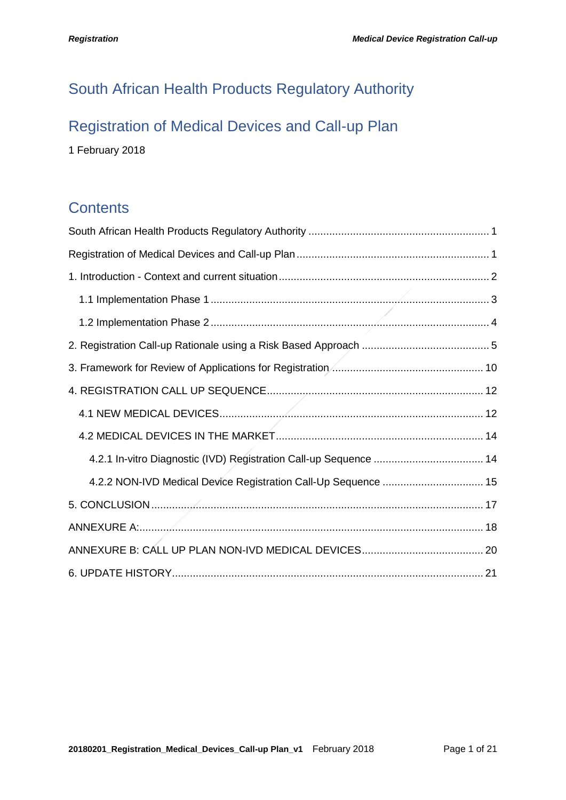# <span id="page-0-0"></span>South African Health Products Regulatory Authority

# <span id="page-0-1"></span>Registration of Medical Devices and Call-up Plan

1 February 2018

## **Contents**

| 4.2.2 NON-IVD Medical Device Registration Call-Up Sequence  15 |  |
|----------------------------------------------------------------|--|
|                                                                |  |
|                                                                |  |
|                                                                |  |
|                                                                |  |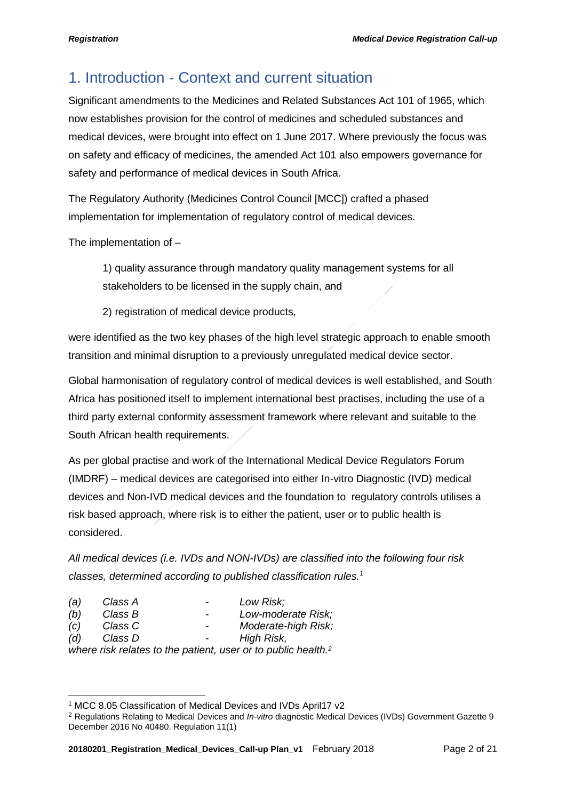### <span id="page-1-0"></span>1. Introduction - Context and current situation

Significant amendments to the Medicines and Related Substances Act 101 of 1965, which now establishes provision for the control of medicines and scheduled substances and medical devices, were brought into effect on 1 June 2017. Where previously the focus was on safety and efficacy of medicines, the amended Act 101 also empowers governance for safety and performance of medical devices in South Africa.

The Regulatory Authority (Medicines Control Council [MCC]) crafted a phased implementation for implementation of regulatory control of medical devices.

The implementation of –

1) quality assurance through mandatory quality management systems for all stakeholders to be licensed in the supply chain, and

2) registration of medical device products,

were identified as the two key phases of the high level strategic approach to enable smooth transition and minimal disruption to a previously unregulated medical device sector.

Global harmonisation of regulatory control of medical devices is well established, and South Africa has positioned itself to implement international best practises, including the use of a third party external conformity assessment framework where relevant and suitable to the South African health requirements.

As per global practise and work of the International Medical Device Regulators Forum (IMDRF) – medical devices are categorised into either In-vitro Diagnostic (IVD) medical devices and Non-IVD medical devices and the foundation to regulatory controls utilises a risk based approach, where risk is to either the patient, user or to public health is considered.

*All medical devices (i.e. IVDs and NON-IVDs) are classified into the following four risk classes, determined according to published classification rules.<sup>1</sup>*

| (a) | Class A | -                        | Low Risk:                                                                 |
|-----|---------|--------------------------|---------------------------------------------------------------------------|
| (b) | Class B | $\overline{\phantom{0}}$ | Low-moderate Risk;                                                        |
| (c) | Class C | $\overline{\phantom{0}}$ | Moderate-high Risk;                                                       |
| (d) | Class D |                          | High Risk,                                                                |
|     |         |                          | where risk relates to the patient, user or to public health. <sup>2</sup> |

<sup>1</sup> MCC 8.05 Classification of Medical Devices and IVDs April17 v2

<sup>2</sup> Regulations Relating to Medical Devices and *In-vitro* diagnostic Medical Devices (IVDs) Government Gazette 9 December 2016 No 40480. Regulation 11(1)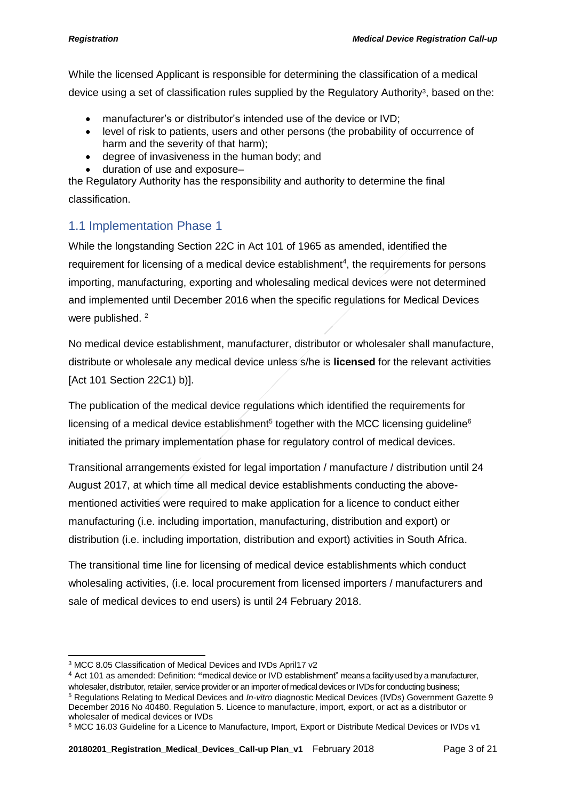While the licensed Applicant is responsible for determining the classification of a medical device using a set of classification rules supplied by the Regulatory Authority<sup>3</sup>, based on the:

- manufacturer's or distributor's intended use of the device or IVD;
- level of risk to patients, users and other persons (the probability of occurrence of harm and the severity of that harm);
- degree of invasiveness in the human body; and
- duration of use and exposure–

the Regulatory Authority has the responsibility and authority to determine the final classification.

#### <span id="page-2-0"></span>1.1 Implementation Phase 1

While the longstanding Section 22C in Act 101 of 1965 as amended, identified the requirement for licensing of a medical device establishment<sup>4</sup>, the requirements for persons importing, manufacturing, exporting and wholesaling medical devices were not determined and implemented until December 2016 when the specific regulations for Medical Devices were published.<sup>2</sup>

No medical device establishment, manufacturer, distributor or wholesaler shall manufacture, distribute or wholesale any medical device unless s/he is **licensed** for the relevant activities [Act 101 Section 22C1) b)].

The publication of the medical device regulations which identified the requirements for licensing of a medical device establishment<sup>5</sup> together with the MCC licensing guideline<sup>6</sup> initiated the primary implementation phase for regulatory control of medical devices.

Transitional arrangements existed for legal importation / manufacture / distribution until 24 August 2017, at which time all medical device establishments conducting the abovementioned activities were required to make application for a licence to conduct either manufacturing (i.e. including importation, manufacturing, distribution and export) or distribution (i.e. including importation, distribution and export) activities in South Africa.

The transitional time line for licensing of medical device establishments which conduct wholesaling activities, (i.e. local procurement from licensed importers / manufacturers and sale of medical devices to end users) is until 24 February 2018.

<sup>-</sup><sup>3</sup> MCC 8.05 Classification of Medical Devices and IVDs April17 v2

<sup>4</sup> Act 101 as amended: Definition: **"**medical device or IVD establishment" means a facility used by a manufacturer,

wholesaler, distributor, retailer, service provider or an importer of medical devices or IVDs for conducting business;

<sup>5</sup> Regulations Relating to Medical Devices and *In-vitro* diagnostic Medical Devices (IVDs) Government Gazette 9 December 2016 No 40480. Regulation 5. Licence to manufacture, import, export, or act as a distributor or wholesaler of medical devices or IVDs

<sup>6</sup> MCC 16.03 Guideline for a Licence to Manufacture, Import, Export or Distribute Medical Devices or IVDs v1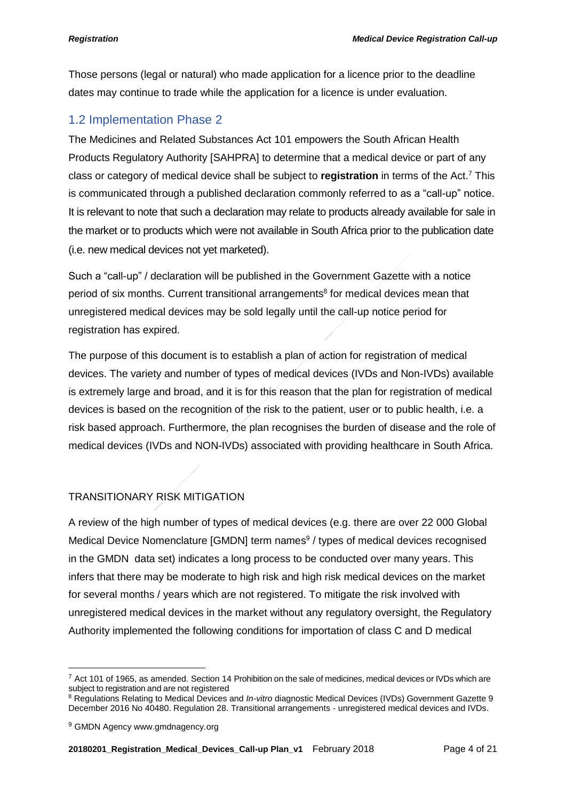Those persons (legal or natural) who made application for a licence prior to the deadline dates may continue to trade while the application for a licence is under evaluation.

#### <span id="page-3-0"></span>1.2 Implementation Phase 2

The Medicines and Related Substances Act 101 empowers the South African Health Products Regulatory Authority [SAHPRA] to determine that a medical device or part of any class or category of medical device shall be subject to **registration** in terms of the Act.<sup>7</sup> This is communicated through a published declaration commonly referred to as a "call-up" notice. It is relevant to note that such a declaration may relate to products already available for sale in the market or to products which were not available in South Africa prior to the publication date (i.e. new medical devices not yet marketed).

Such a "call-up" / declaration will be published in the Government Gazette with a notice period of six months. Current transitional arrangements<sup>8</sup> for medical devices mean that unregistered medical devices may be sold legally until the call-up notice period for registration has expired.

The purpose of this document is to establish a plan of action for registration of medical devices. The variety and number of types of medical devices (IVDs and Non-IVDs) available is extremely large and broad, and it is for this reason that the plan for registration of medical devices is based on the recognition of the risk to the patient, user or to public health, i.e. a risk based approach. Furthermore, the plan recognises the burden of disease and the role of medical devices (IVDs and NON-IVDs) associated with providing healthcare in South Africa.

#### TRANSITIONARY RISK MITIGATION

A review of the high number of types of medical devices (e.g. there are over 22 000 Global Medical Device Nomenclature [GMDN] term names 9 / types of medical devices recognised in the GMDN data set) indicates a long process to be conducted over many years. This infers that there may be moderate to high risk and high risk medical devices on the market for several months / years which are not registered. To mitigate the risk involved with unregistered medical devices in the market without any regulatory oversight, the Regulatory Authority implemented the following conditions for importation of class C and D medical

<sup>7</sup> Act 101 of 1965, as amended. Section 14 Prohibition on the sale of medicines, medical devices or IVDs which are subject to registration and are not registered

<sup>8</sup> Regulations Relating to Medical Devices and *In-vitro* diagnostic Medical Devices (IVDs) Government Gazette 9 December 2016 No 40480. Regulation 28. Transitional arrangements - unregistered medical devices and IVDs.

<sup>9</sup> GMDN Agency www.gmdnagency.org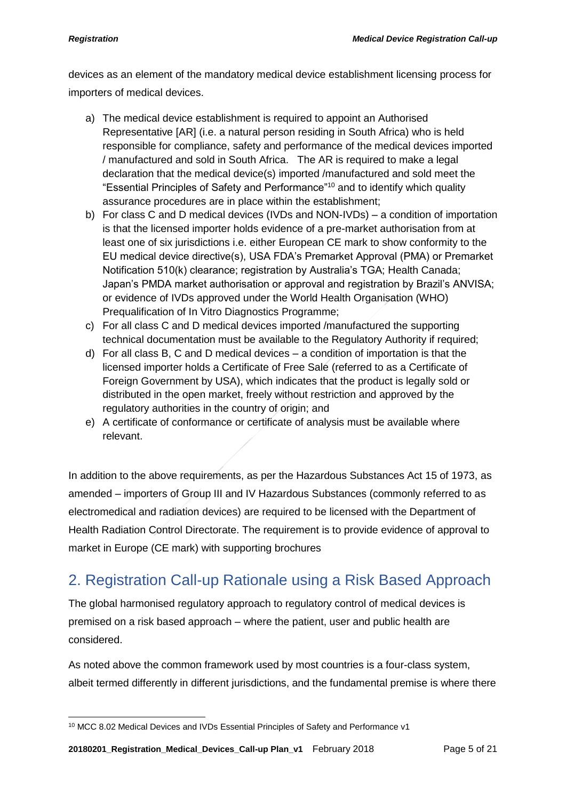devices as an element of the mandatory medical device establishment licensing process for importers of medical devices.

- a) The medical device establishment is required to appoint an Authorised Representative [AR] (i.e. a natural person residing in South Africa) who is held responsible for compliance, safety and performance of the medical devices imported / manufactured and sold in South Africa. The AR is required to make a legal declaration that the medical device(s) imported /manufactured and sold meet the "Essential Principles of Safety and Performance"<sup>10</sup> and to identify which quality assurance procedures are in place within the establishment;
- b) For class C and D medical devices (IVDs and NON-IVDs) a condition of importation is that the licensed importer holds evidence of a pre-market authorisation from at least one of six jurisdictions i.e. either European CE mark to show conformity to the EU medical device directive(s), USA FDA's Premarket Approval (PMA) or Premarket Notification 510(k) clearance; registration by Australia's TGA; Health Canada; Japan's PMDA market authorisation or approval and registration by Brazil's ANVISA; or evidence of IVDs approved under the World Health Organisation (WHO) Prequalification of In Vitro Diagnostics Programme;
- c) For all class C and D medical devices imported /manufactured the supporting technical documentation must be available to the Regulatory Authority if required;
- d) For all class B, C and D medical devices a condition of importation is that the licensed importer holds a Certificate of Free Sale (referred to as a Certificate of Foreign Government by USA), which indicates that the product is legally sold or distributed in the open market, freely without restriction and approved by the regulatory authorities in the country of origin; and
- e) A certificate of conformance or certificate of analysis must be available where relevant.

In addition to the above requirements, as per the Hazardous Substances Act 15 of 1973, as amended – importers of Group III and IV Hazardous Substances (commonly referred to as electromedical and radiation devices) are required to be licensed with the Department of Health Radiation Control Directorate. The requirement is to provide evidence of approval to market in Europe (CE mark) with supporting brochures

## <span id="page-4-0"></span>2. Registration Call-up Rationale using a Risk Based Approach

The global harmonised regulatory approach to regulatory control of medical devices is premised on a risk based approach – where the patient, user and public health are considered.

As noted above the common framework used by most countries is a four-class system, albeit termed differently in different jurisdictions, and the fundamental premise is where there

<sup>10</sup> MCC 8.02 Medical Devices and IVDs Essential Principles of Safety and Performance v1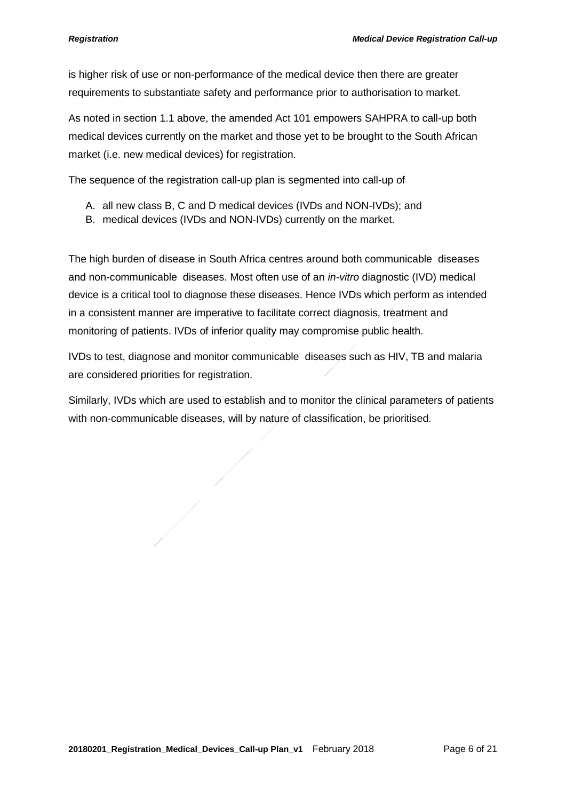is higher risk of use or non-performance of the medical device then there are greater requirements to substantiate safety and performance prior to authorisation to market.

As noted in section 1.1 above, the amended Act 101 empowers SAHPRA to call-up both medical devices currently on the market and those yet to be brought to the South African market (i.e. new medical devices) for registration.

The sequence of the registration call-up plan is segmented into call-up of

- A. all new class B, C and D medical devices (IVDs and NON-IVDs); and
- B. medical devices (IVDs and NON-IVDs) currently on the market.

The high burden of disease in South Africa centres around both communicable diseases and non-communicable diseases. Most often use of an *in-vitro* diagnostic (IVD) medical device is a critical tool to diagnose these diseases. Hence IVDs which perform as intended in a consistent manner are imperative to facilitate correct diagnosis, treatment and monitoring of patients. IVDs of inferior quality may compromise public health.

IVDs to test, diagnose and monitor communicable diseases such as HIV, TB and malaria are considered priorities for registration.

Similarly, IVDs which are used to establish and to monitor the clinical parameters of patients with non-communicable diseases, will by nature of classification, be prioritised.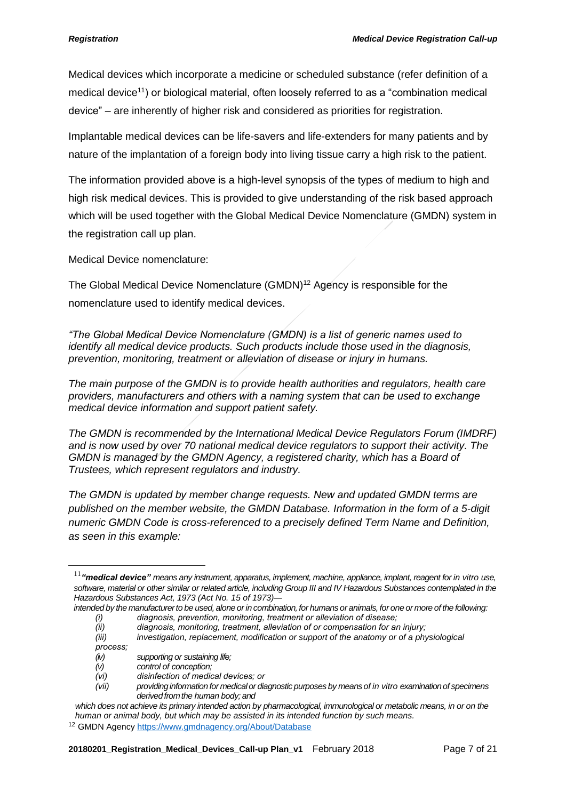Medical devices which incorporate a medicine or scheduled substance (refer definition of a medical device<sup>11</sup>) or biological material, often loosely referred to as a "combination medical device" – are inherently of higher risk and considered as priorities for registration.

Implantable medical devices can be life-savers and life-extenders for many patients and by nature of the implantation of a foreign body into living tissue carry a high risk to the patient.

The information provided above is a high-level synopsis of the types of medium to high and high risk medical devices. This is provided to give understanding of the risk based approach which will be used together with the Global Medical Device Nomenclature (GMDN) system in the registration call up plan.

Medical Device nomenclature:

The Global Medical Device Nomenclature (GMDN)<sup>12</sup> Agency is responsible for the nomenclature used to identify medical devices.

*"The Global Medical Device Nomenclature (GMDN) is a list of generic names used to identify all medical device products. Such products include those used in the diagnosis, prevention, monitoring, treatment or alleviation of disease or injury in humans.*

*The main purpose of the GMDN is to provide health authorities and regulators, health care providers, manufacturers and others with a naming system that can be used to exchange medical device information and support patient safety.* 

*The GMDN is recommended by the International Medical Device Regulators Forum (IMDRF) and is now used by over 70 national medical device regulators to support their activity. The GMDN is managed by the GMDN Agency, a registered charity, which has a Board of Trustees, which represent regulators and industry.*

*The GMDN is updated by member change requests. New and updated GMDN terms are published on the member website, the GMDN Database. Information in the form of a 5-digit numeric GMDN Code is cross-referenced to a precisely defined Term Name and Definition, as seen in this example:*

<sup>11</sup>*"medical device" means any instrument, apparatus, implement, machine, appliance, implant, reagent for in vitro use, software, material or other similar or related article, including Group III and IV Hazardous Substances contemplated in the Hazardous Substances Act, 1973 (Act No. 15 of 1973)—*

intended by the manufacturer to be used, alone or in combination, for humans or animals, for one or more of the following: *(i) diagnosis, prevention, monitoring, treatment or alleviation of disease;*

*<sup>(</sup>ii) diagnosis, monitoring, treatment, alleviation of or compensation for an injury;*

*<sup>(</sup>iii) investigation, replacement, modification or support of the anatomy or of a physiological process;*

*<sup>(</sup>iv) supporting or sustaining life;*

*<sup>(</sup>v) control of conception;*

*<sup>(</sup>vi) disinfection of medical devices; or*

*<sup>(</sup>vii) providinginformation for medicalor diagnostic purposes by means of in vitro examinationof specimens derivedfromthe human body; and*

which does not achieve its primary intended action by pharmacological, immunological or metabolic means, in or on the *human or animal body, but which may be assisted in its intended function by such means.*

<sup>12</sup> GMDN Agenc[y https://www.gmdnagency.org/About/Database](https://www.gmdnagency.org/About/Database)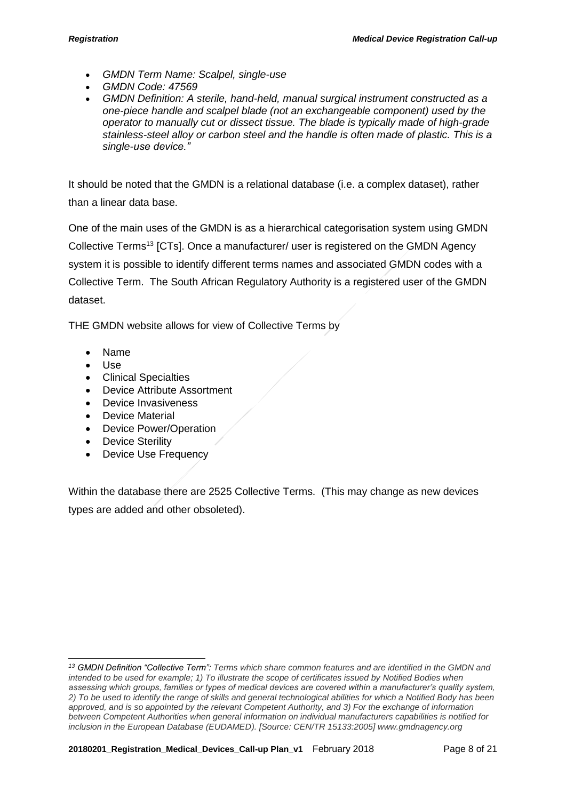- *GMDN Term Name: Scalpel, single-use*
- *GMDN Code: 47569*
- *GMDN Definition: A sterile, hand-held, manual surgical instrument constructed as a one-piece handle and scalpel blade (not an exchangeable component) used by the operator to manually cut or dissect tissue. The blade is typically made of high-grade stainless-steel alloy or carbon steel and the handle is often made of plastic. This is a single-use device."*

It should be noted that the GMDN is a relational database (i.e. a complex dataset), rather than a linear data base.

One of the main uses of the GMDN is as a hierarchical categorisation system using GMDN Collective Terms<sup>13</sup> [CTs]. Once a manufacturer/ user is registered on the GMDN Agency system it is possible to identify different terms names and associated GMDN codes with a Collective Term. The South African Regulatory Authority is a registered user of the GMDN dataset.

THE GMDN website allows for view of Collective Terms by

- Name
- Use

-

- Clinical Specialties
- Device Attribute Assortment
- Device Invasiveness
- Device Material
- Device Power/Operation
- **Device Sterility**
- Device Use Frequency

Within the database there are 2525 Collective Terms. (This may change as new devices types are added and other obsoleted).

*<sup>13</sup> GMDN Definition "Collective Term": Terms which share common features and are identified in the GMDN and intended to be used for example; 1) To illustrate the scope of certificates issued by Notified Bodies when assessing which groups, families or types of medical devices are covered within a manufacturer's quality system, 2) To be used to identify the range of skills and general technological abilities for which a Notified Body has been approved, and is so appointed by the relevant Competent Authority, and 3) For the exchange of information between Competent Authorities when general information on individual manufacturers capabilities is notified for inclusion in the European Database (EUDAMED). [Source: CEN/TR 15133:2005] www.gmdnagency.org*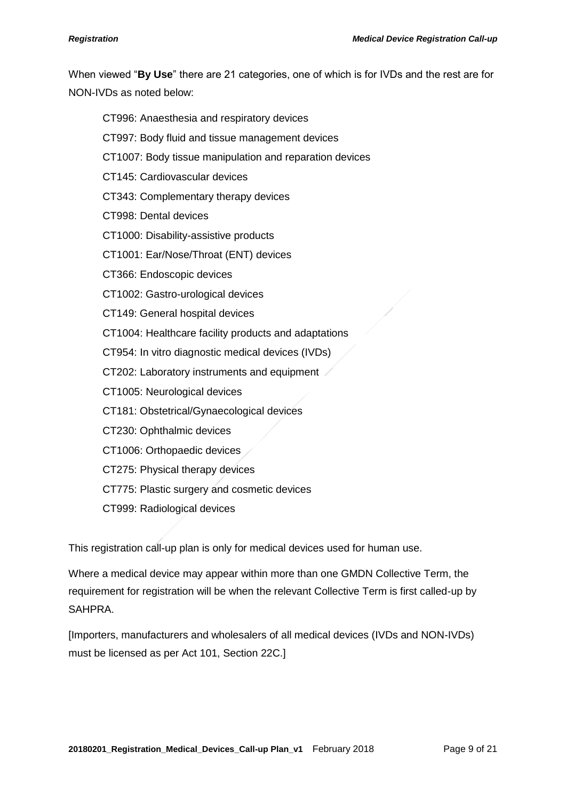When viewed "**By Use**" there are 21 categories, one of which is for IVDs and the rest are for NON-IVDs as noted below:

- CT996: Anaesthesia and respiratory devices
- CT997: Body fluid and tissue management devices
- CT1007: Body tissue manipulation and reparation devices
- CT145: Cardiovascular devices
- CT343: Complementary therapy devices
- CT998: Dental devices
- CT1000: Disability-assistive products
- CT1001: Ear/Nose/Throat (ENT) devices
- CT366: Endoscopic devices
- CT1002: Gastro-urological devices
- CT149: General hospital devices
- CT1004: Healthcare facility products and adaptations
- CT954: In vitro diagnostic medical devices (IVDs)
- CT202: Laboratory instruments and equipment /
- CT1005: Neurological devices
- CT181: Obstetrical/Gynaecological devices
- CT230: Ophthalmic devices
- CT1006: Orthopaedic devices
- CT275: Physical therapy devices
- CT775: Plastic surgery and cosmetic devices
- CT999: Radiological devices

This registration call-up plan is only for medical devices used for human use.

Where a medical device may appear within more than one GMDN Collective Term, the requirement for registration will be when the relevant Collective Term is first called-up by SAHPRA.

[Importers, manufacturers and wholesalers of all medical devices (IVDs and NON-IVDs) must be licensed as per Act 101, Section 22C.]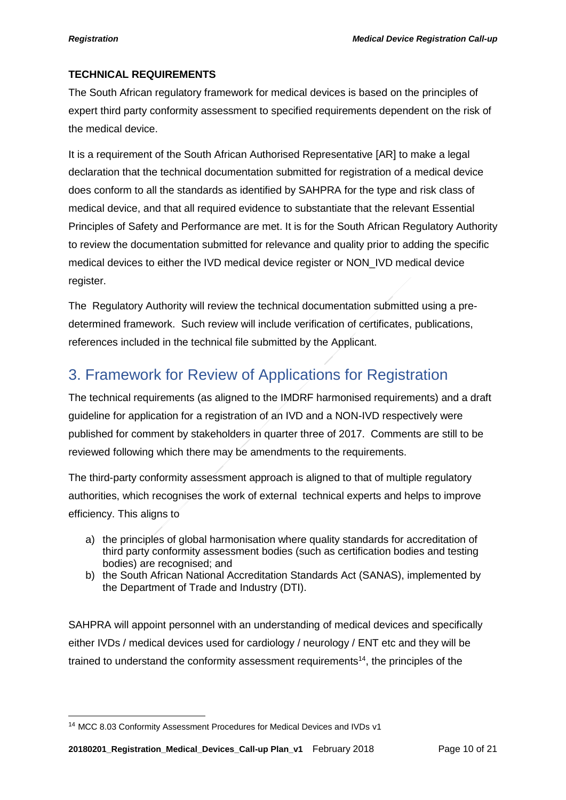#### **TECHNICAL REQUIREMENTS**

The South African regulatory framework for medical devices is based on the principles of expert third party conformity assessment to specified requirements dependent on the risk of the medical device.

It is a requirement of the South African Authorised Representative [AR] to make a legal declaration that the technical documentation submitted for registration of a medical device does conform to all the standards as identified by SAHPRA for the type and risk class of medical device, and that all required evidence to substantiate that the relevant Essential Principles of Safety and Performance are met. It is for the South African Regulatory Authority to review the documentation submitted for relevance and quality prior to adding the specific medical devices to either the IVD medical device register or NON\_IVD medical device register.

The Regulatory Authority will review the technical documentation submitted using a predetermined framework. Such review will include verification of certificates, publications, references included in the technical file submitted by the Applicant.

# <span id="page-9-0"></span>3. Framework for Review of Applications for Registration

The technical requirements (as aligned to the IMDRF harmonised requirements) and a draft guideline for application for a registration of an IVD and a NON-IVD respectively were published for comment by stakeholders in quarter three of 2017. Comments are still to be reviewed following which there may be amendments to the requirements.

The third-party conformity assessment approach is aligned to that of multiple regulatory authorities, which recognises the work of external technical experts and helps to improve efficiency. This aligns to

- a) the principles of global harmonisation where quality standards for accreditation of third party conformity assessment bodies (such as certification bodies and testing bodies) are recognised; and
- b) the South African National Accreditation Standards Act (SANAS), implemented by the Department of Trade and Industry (DTI).

SAHPRA will appoint personnel with an understanding of medical devices and specifically either IVDs / medical devices used for cardiology / neurology / ENT etc and they will be trained to understand the conformity assessment requirements<sup>14</sup>, the principles of the

<sup>14</sup> MCC 8.03 Conformity Assessment Procedures for Medical Devices and IVDs v1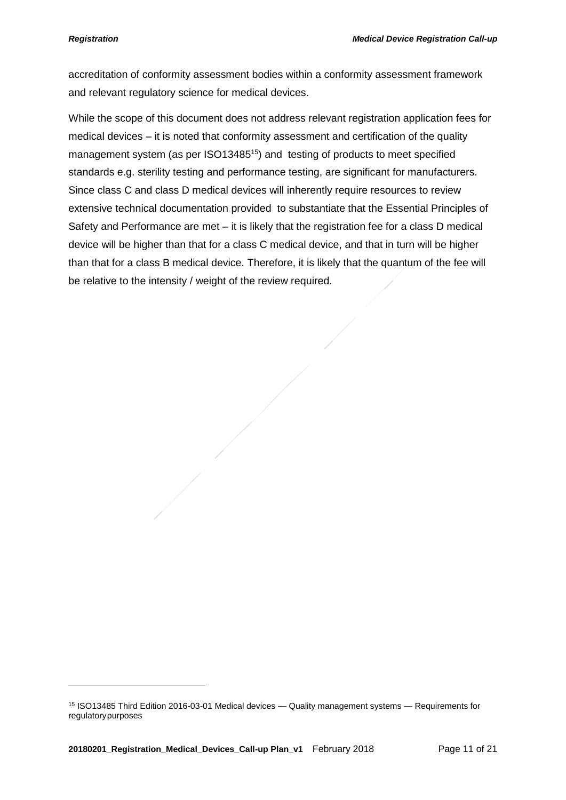-

accreditation of conformity assessment bodies within a conformity assessment framework and relevant regulatory science for medical devices.

While the scope of this document does not address relevant registration application fees for medical devices – it is noted that conformity assessment and certification of the quality management system (as per ISO13485<sup>15</sup>) and testing of products to meet specified standards e.g. sterility testing and performance testing, are significant for manufacturers. Since class C and class D medical devices will inherently require resources to review extensive technical documentation provided to substantiate that the Essential Principles of Safety and Performance are met – it is likely that the registration fee for a class D medical device will be higher than that for a class C medical device, and that in turn will be higher than that for a class B medical device. Therefore, it is likely that the quantum of the fee will be relative to the intensity / weight of the review required.

<sup>15</sup> ISO13485 Third Edition 2016-03-01 Medical devices — Quality management systems — Requirements for regulatorypurposes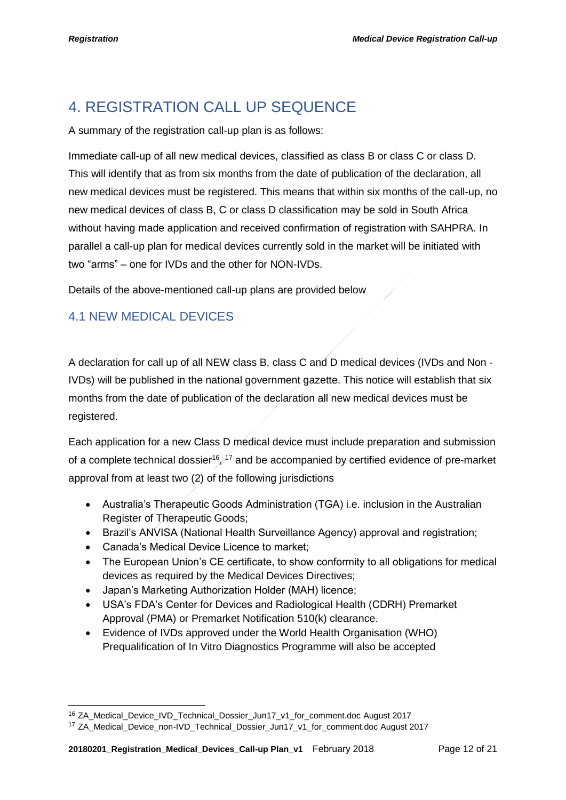-

## <span id="page-11-0"></span>4. REGISTRATION CALL UP SEQUENCE

A summary of the registration call-up plan is as follows:

Immediate call-up of all new medical devices, classified as class B or class C or class D. This will identify that as from six months from the date of publication of the declaration, all new medical devices must be registered. This means that within six months of the call-up, no new medical devices of class B, C or class D classification may be sold in South Africa without having made application and received confirmation of registration with SAHPRA. In parallel a call-up plan for medical devices currently sold in the market will be initiated with two "arms" – one for IVDs and the other for NON-IVDs.

Details of the above-mentioned call-up plans are provided below

#### <span id="page-11-1"></span>4.1 NEW MEDICAL DEVICES

A declaration for call up of all NEW class B, class C and D medical devices (IVDs and Non - IVDs) will be published in the national government gazette. This notice will establish that six months from the date of publication of the declaration all new medical devices must be registered.

Each application for a new Class D medical device must include preparation and submission of a complete technical dossier<sup>16</sup>, <sup>17</sup> and be accompanied by certified evidence of pre-market approval from at least two (2) of the following jurisdictions

- Australia's Therapeutic Goods Administration (TGA) i.e. inclusion in the Australian Register of Therapeutic Goods;
- Brazil's ANVISA (National Health Surveillance Agency) approval and registration;
- Canada's Medical Device Licence to market;
- The European Union's CE certificate, to show conformity to all obligations for medical devices as required by the Medical Devices Directives;
- Japan's Marketing Authorization Holder (MAH) licence;
- USA's FDA's Center for Devices and Radiological Health (CDRH) Premarket Approval (PMA) or Premarket Notification 510(k) clearance.
- Evidence of IVDs approved under the World Health Organisation (WHO) Prequalification of In Vitro Diagnostics Programme will also be accepted

<sup>&</sup>lt;sup>16</sup> ZA\_Medical\_Device\_IVD\_Technical\_Dossier\_Jun17\_v1\_for\_comment.doc August 2017

<sup>17</sup> ZA\_Medical\_Device\_non-IVD\_Technical\_Dossier\_Jun17\_v1\_for\_comment.doc August 2017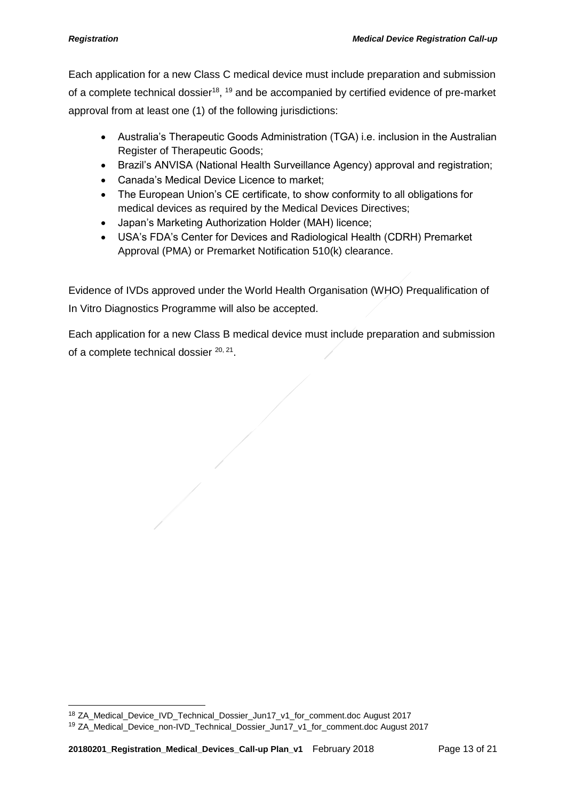Each application for a new Class C medical device must include preparation and submission of a complete technical dossier<sup>18</sup>, <sup>19</sup> and be accompanied by certified evidence of pre-market approval from at least one (1) of the following jurisdictions:

- Australia's Therapeutic Goods Administration (TGA) i.e. inclusion in the Australian Register of Therapeutic Goods;
- Brazil's ANVISA (National Health Surveillance Agency) approval and registration;
- Canada's Medical Device Licence to market;
- The European Union's CE certificate, to show conformity to all obligations for medical devices as required by the Medical Devices Directives;
- Japan's Marketing Authorization Holder (MAH) licence;
- USA's FDA's Center for Devices and Radiological Health (CDRH) Premarket Approval (PMA) or Premarket Notification 510(k) clearance.

Evidence of IVDs approved under the World Health Organisation (WHO) Prequalification of In Vitro Diagnostics Programme will also be accepted.

Each application for a new Class B medical device must include preparation and submission of a complete technical dossier <sup>20, 21</sup>.

<sup>-</sup><sup>18</sup> ZA\_Medical\_Device\_IVD\_Technical\_Dossier\_Jun17\_v1\_for\_comment.doc August 2017

<sup>19</sup> ZA\_Medical\_Device\_non-IVD\_Technical\_Dossier\_Jun17\_v1\_for\_comment.doc August 2017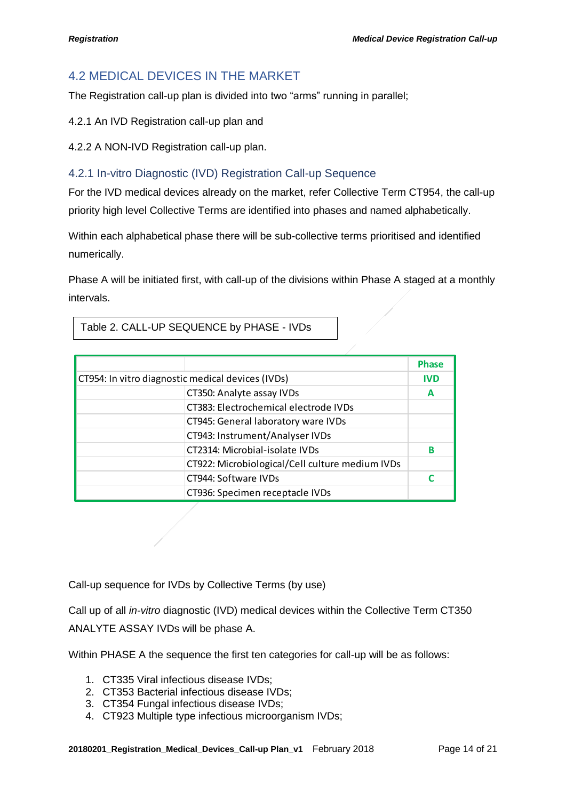#### <span id="page-13-0"></span>4.2 MEDICAL DEVICES IN THE MARKET

The Registration call-up plan is divided into two "arms" running in parallel;

4.2.1 An IVD Registration call-up plan and

4.2.2 A NON-IVD Registration call-up plan.

#### <span id="page-13-1"></span>4.2.1 In-vitro Diagnostic (IVD) Registration Call-up Sequence

For the IVD medical devices already on the market, refer Collective Term CT954, the call-up priority high level Collective Terms are identified into phases and named alphabetically.

Within each alphabetical phase there will be sub-collective terms prioritised and identified numerically.

Phase A will be initiated first, with call-up of the divisions within Phase A staged at a monthly intervals.

|                                                   |                                                 | <b>Phase</b> |
|---------------------------------------------------|-------------------------------------------------|--------------|
| CT954: In vitro diagnostic medical devices (IVDs) |                                                 | <b>IVD</b>   |
|                                                   | CT350: Analyte assay IVDs                       | А            |
|                                                   | CT383: Electrochemical electrode IVDs           |              |
|                                                   | CT945: General laboratory ware IVDs             |              |
|                                                   | CT943: Instrument/Analyser IVDs                 |              |
|                                                   | CT2314: Microbial-isolate IVDs                  | в            |
|                                                   | CT922: Microbiological/Cell culture medium IVDs |              |
|                                                   | CT944: Software IVDs                            |              |
|                                                   | CT936: Specimen receptacle IVDs                 |              |

Table 2. CALL-UP SEQUENCE by PHASE - IVDs

Call-up sequence for IVDs by Collective Terms (by use)

Call up of all *in-vitro* diagnostic (IVD) medical devices within the Collective Term CT350 ANALYTE ASSAY IVDs will be phase A.

Within PHASE A the sequence the first ten categories for call-up will be as follows:

- 1. CT335 Viral infectious disease IVDs;
- 2. CT353 Bacterial infectious disease IVDs;
- 3. CT354 Fungal infectious disease IVDs;
- 4. CT923 Multiple type infectious microorganism IVDs;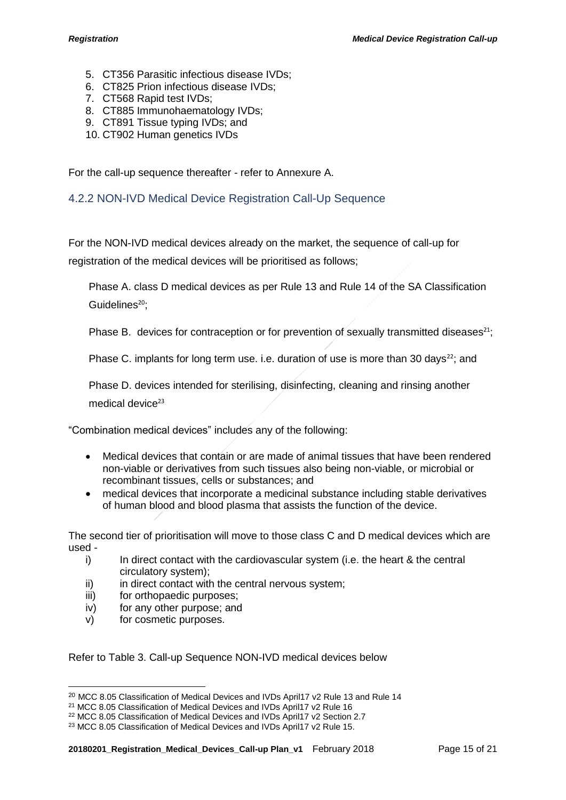- 5. CT356 Parasitic infectious disease IVDs;
- 6. CT825 Prion infectious disease IVDs;
- 7. CT568 Rapid test IVDs;
- 8. CT885 Immunohaematology IVDs;
- 9. CT891 Tissue typing IVDs; and
- 10. CT902 Human genetics IVDs

For the call-up sequence thereafter - refer to Annexure A.

<span id="page-14-0"></span>4.2.2 NON-IVD Medical Device Registration Call-Up Sequence

For the NON-IVD medical devices already on the market, the sequence of call-up for registration of the medical devices will be prioritised as follows;

Phase A. class D medical devices as per Rule 13 and Rule 14 of the SA Classification Guidelines<sup>20</sup>;

Phase B. devices for contraception or for prevention of sexually transmitted diseases<sup>21</sup>;

Phase C. implants for long term use. i.e. duration of use is more than 30 days<sup>22</sup>; and

Phase D. devices intended for sterilising, disinfecting, cleaning and rinsing another medical device<sup>23</sup>

"Combination medical devices" includes any of the following:

- Medical devices that contain or are made of animal tissues that have been rendered non-viable or derivatives from such tissues also being non-viable, or microbial or recombinant tissues, cells or substances; and
- medical devices that incorporate a medicinal substance including stable derivatives of human blood and blood plasma that assists the function of the device.

The second tier of prioritisation will move to those class C and D medical devices which are used -

- i) In direct contact with the cardiovascular system (i.e. the heart & the central circulatory system);
- ii) in direct contact with the central nervous system;
- iii) for orthopaedic purposes;
- iv) for any other purpose; and
- v) for cosmetic purposes.

-

Refer to Table 3. Call-up Sequence NON-IVD medical devices below

<sup>&</sup>lt;sup>20</sup> MCC 8.05 Classification of Medical Devices and IVDs April17 v2 Rule 13 and Rule 14

<sup>&</sup>lt;sup>21</sup> MCC 8.05 Classification of Medical Devices and IVDs April17 v2 Rule 16

<sup>&</sup>lt;sup>22</sup> MCC 8.05 Classification of Medical Devices and IVDs April17 v2 Section 2.7

<sup>&</sup>lt;sup>23</sup> MCC 8.05 Classification of Medical Devices and IVDs April17 v2 Rule 15.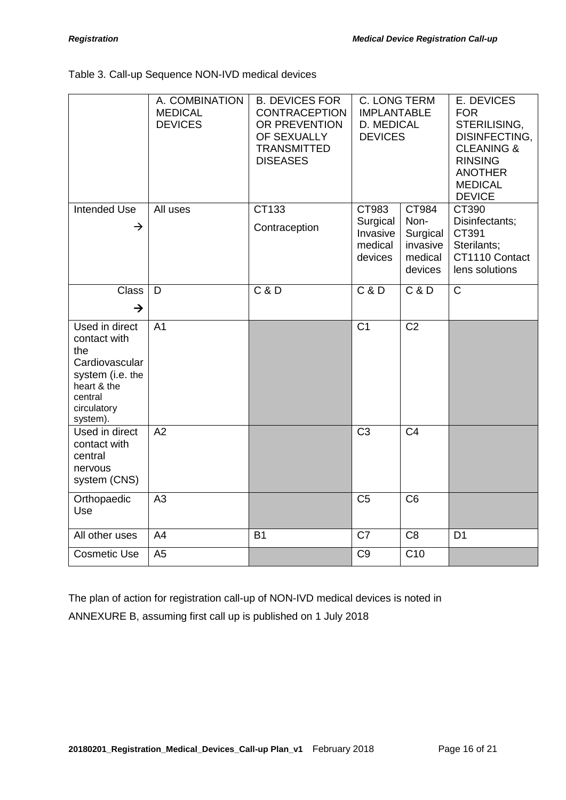#### Table 3. Call-up Sequence NON-IVD medical devices

|                                                                                                                                  | A. COMBINATION<br><b>MEDICAL</b><br><b>DEVICES</b> | <b>B. DEVICES FOR</b><br><b>CONTRACEPTION</b><br>OR PREVENTION<br>OF SEXUALLY<br><b>TRANSMITTED</b><br><b>DISEASES</b> | C. LONG TERM<br><b>IMPLANTABLE</b><br>D. MEDICAL<br><b>DEVICES</b> |                                                             | E. DEVICES<br><b>FOR</b><br>STERILISING,<br>DISINFECTING,<br><b>CLEANING &amp;</b><br><b>RINSING</b><br><b>ANOTHER</b><br><b>MEDICAL</b><br><b>DEVICE</b> |
|----------------------------------------------------------------------------------------------------------------------------------|----------------------------------------------------|------------------------------------------------------------------------------------------------------------------------|--------------------------------------------------------------------|-------------------------------------------------------------|-----------------------------------------------------------------------------------------------------------------------------------------------------------|
| <b>Intended Use</b><br>→                                                                                                         | All uses                                           | CT133<br>Contraception                                                                                                 | CT983<br>Surgical<br>Invasive<br>medical<br>devices                | CT984<br>Non-<br>Surgical<br>invasive<br>medical<br>devices | CT390<br>Disinfectants;<br>CT391<br>Sterilants;<br>CT1110 Contact<br>lens solutions                                                                       |
| <b>Class</b><br>$\rightarrow$                                                                                                    | D                                                  | C & D                                                                                                                  | C & D                                                              | C & D                                                       | $\mathsf{C}$                                                                                                                                              |
| Used in direct<br>contact with<br>the<br>Cardiovascular<br>system (i.e. the<br>heart & the<br>central<br>circulatory<br>system). | A <sub>1</sub>                                     |                                                                                                                        | $\overline{C1}$                                                    | $\overline{C2}$                                             |                                                                                                                                                           |
| Used in direct<br>contact with<br>central<br>nervous<br>system (CNS)                                                             | A2                                                 |                                                                                                                        | C <sub>3</sub>                                                     | C <sub>4</sub>                                              |                                                                                                                                                           |
| Orthopaedic<br>Use                                                                                                               | A3                                                 |                                                                                                                        | C <sub>5</sub>                                                     | C <sub>6</sub>                                              |                                                                                                                                                           |
| All other uses                                                                                                                   | A4                                                 | <b>B1</b>                                                                                                              | C <sub>7</sub>                                                     | C <sub>8</sub>                                              | D <sub>1</sub>                                                                                                                                            |
| <b>Cosmetic Use</b>                                                                                                              | A <sub>5</sub>                                     |                                                                                                                        | C <sub>9</sub>                                                     | C10                                                         |                                                                                                                                                           |

The plan of action for registration call-up of NON-IVD medical devices is noted in ANNEXURE B, assuming first call up is published on 1 July 2018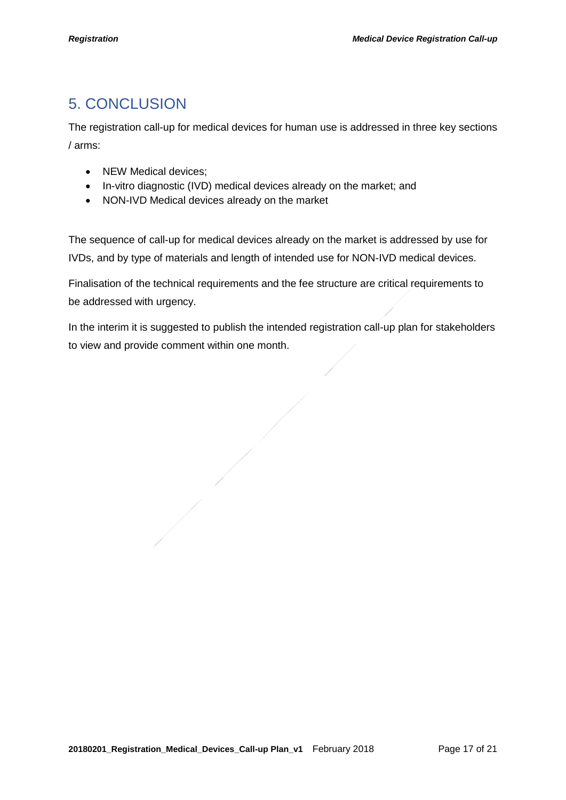## <span id="page-16-0"></span>5. CONCLUSION

The registration call-up for medical devices for human use is addressed in three key sections / arms:

- NEW Medical devices;
- In-vitro diagnostic (IVD) medical devices already on the market; and
- NON-IVD Medical devices already on the market

The sequence of call-up for medical devices already on the market is addressed by use for IVDs, and by type of materials and length of intended use for NON-IVD medical devices.

Finalisation of the technical requirements and the fee structure are critical requirements to be addressed with urgency.

In the interim it is suggested to publish the intended registration call-up plan for stakeholders to view and provide comment within one month.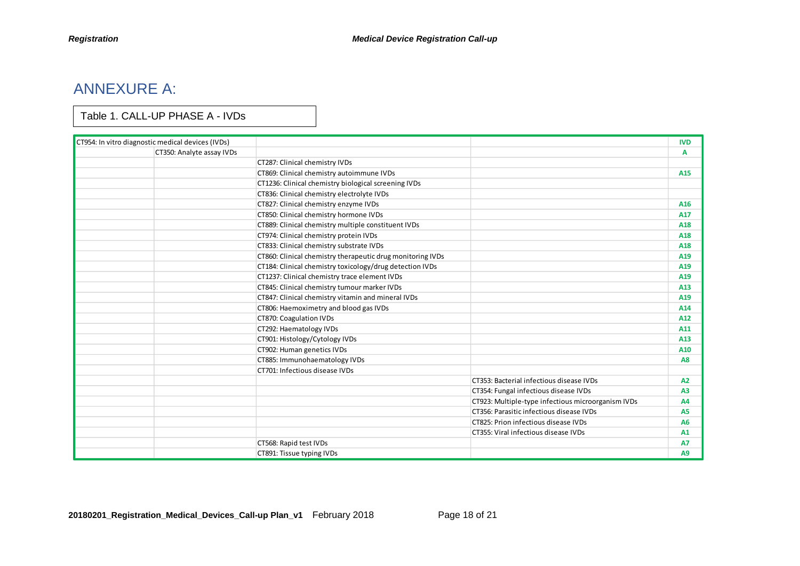## ANNEXURE A:

#### Table 1. CALL-UP PHASE A - IVDs

<span id="page-17-0"></span>

| CT954: In vitro diagnostic medical devices (IVDs) |                                                            |                                                    | <b>IVD</b>     |
|---------------------------------------------------|------------------------------------------------------------|----------------------------------------------------|----------------|
| CT350: Analyte assay IVDs                         |                                                            |                                                    | A              |
|                                                   | CT287: Clinical chemistry IVDs                             |                                                    |                |
|                                                   | CT869: Clinical chemistry autoimmune IVDs                  |                                                    | A15            |
|                                                   | CT1236: Clinical chemistry biological screening IVDs       |                                                    |                |
|                                                   | CT836: Clinical chemistry electrolyte IVDs                 |                                                    |                |
|                                                   | CT827: Clinical chemistry enzyme IVDs                      |                                                    | A16            |
|                                                   | CT850: Clinical chemistry hormone IVDs                     |                                                    | A17            |
|                                                   | CT889: Clinical chemistry multiple constituent IVDs        |                                                    | A18            |
|                                                   | CT974: Clinical chemistry protein IVDs                     |                                                    | A18            |
|                                                   | CT833: Clinical chemistry substrate IVDs                   |                                                    | A18            |
|                                                   | CT860: Clinical chemistry therapeutic drug monitoring IVDs |                                                    | A19            |
|                                                   | CT184: Clinical chemistry toxicology/drug detection IVDs   |                                                    | A19            |
|                                                   | CT1237: Clinical chemistry trace element IVDs              |                                                    | A19            |
|                                                   | CT845: Clinical chemistry tumour marker IVDs               |                                                    | A13            |
|                                                   | CT847: Clinical chemistry vitamin and mineral IVDs         |                                                    | A19            |
|                                                   | CT806: Haemoximetry and blood gas IVDs                     |                                                    | A14            |
|                                                   | CT870: Coagulation IVDs                                    |                                                    | A12            |
|                                                   | CT292: Haematology IVDs                                    |                                                    | A11            |
|                                                   | CT901: Histology/Cytology IVDs                             |                                                    | A13            |
|                                                   | CT902: Human genetics IVDs                                 |                                                    | A10            |
|                                                   | CT885: Immunohaematology IVDs                              |                                                    | <b>A8</b>      |
|                                                   | CT701: Infectious disease IVDs                             |                                                    |                |
|                                                   |                                                            | CT353: Bacterial infectious disease IVDs           | A2             |
|                                                   |                                                            | CT354: Fungal infectious disease IVDs              | A3             |
|                                                   |                                                            | CT923: Multiple-type infectious microorganism IVDs | <b>A4</b>      |
|                                                   |                                                            | CT356: Parasitic infectious disease IVDs           | A <sub>5</sub> |
|                                                   |                                                            | CT825: Prion infectious disease IVDs               | <b>A6</b>      |
|                                                   |                                                            | CT355: Viral infectious disease IVDs               | A1             |
|                                                   | CT568: Rapid test IVDs                                     |                                                    | <b>A7</b>      |
|                                                   | CT891: Tissue typing IVDs                                  |                                                    | A <sub>9</sub> |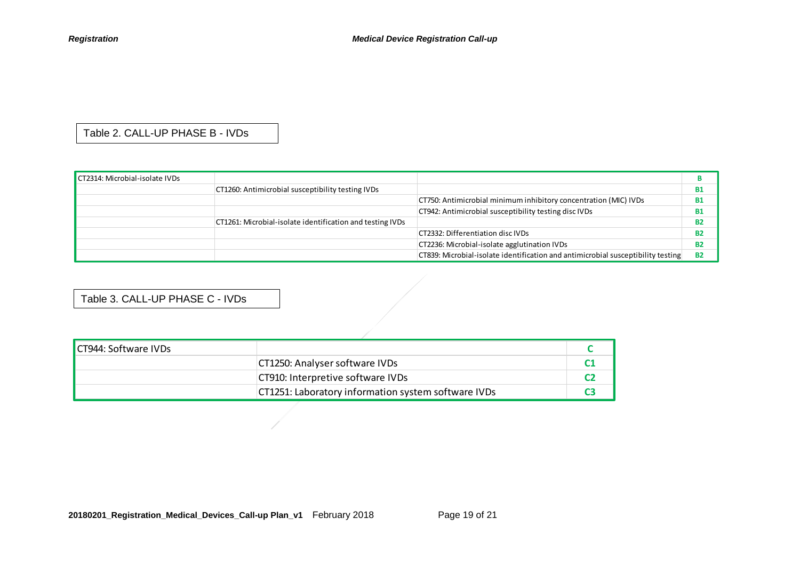Table 2. CALL-UP PHASE B - IVDs

| CT2314: Microbial-isolate IVDs |                                                           |                                                                                  |           |
|--------------------------------|-----------------------------------------------------------|----------------------------------------------------------------------------------|-----------|
|                                | CT1260: Antimicrobial susceptibility testing IVDs         |                                                                                  | <b>B1</b> |
|                                |                                                           | CT750: Antimicrobial minimum inhibitory concentration (MIC) IVDs                 | В1        |
|                                |                                                           | CT942: Antimicrobial susceptibility testing disc IVDs                            | В1        |
|                                | CT1261: Microbial-isolate identification and testing IVDs |                                                                                  | <b>B2</b> |
|                                |                                                           | CT2332: Differentiation disc IVDs                                                | <b>B2</b> |
|                                |                                                           | CT2236: Microbial-isolate agglutination IVDs                                     | B2        |
|                                |                                                           | CT839: Microbial-isolate identification and antimicrobial susceptibility testing | <b>B2</b> |

Table 3. CALL-UP PHASE C - IVDs

| CT944: Software IVDs |                                                     |  |
|----------------------|-----------------------------------------------------|--|
|                      | CT1250: Analyser software IVDs                      |  |
|                      | CT910: Interpretive software IVDs                   |  |
|                      | CT1251: Laboratory information system software IVDs |  |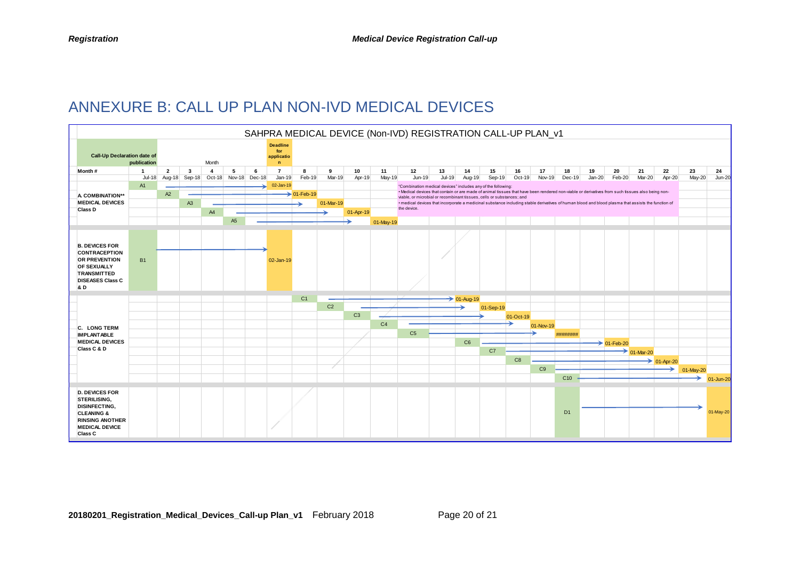## ANNEXURE B: CALL UP PLAN NON-IVD MEDICAL DEVICES

<span id="page-19-0"></span>